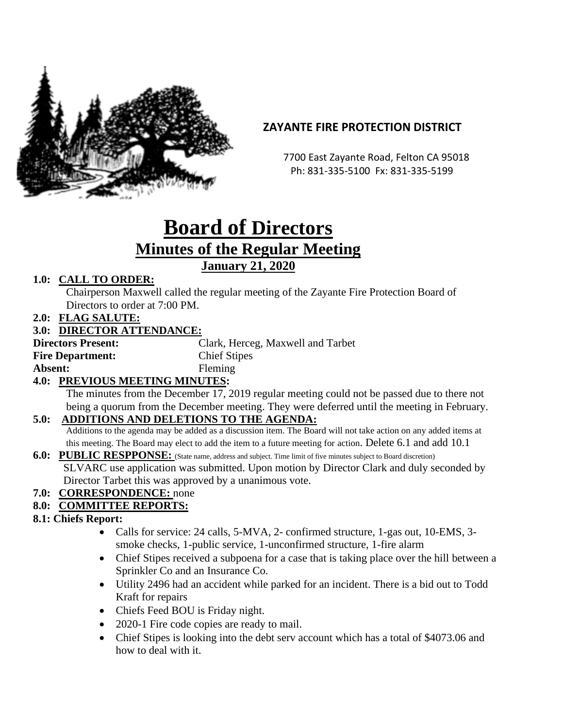

# **ZAYANTE FIRE PROTECTION DISTRICT**

 7700 East Zayante Road, Felton CA 95018 Ph: 831-335-5100 Fx: 831-335-5199

# **Board of Directors Minutes of the Regular Meeting January 21, 2020**

## **1.0: CALL TO ORDER:**

Chairperson Maxwell called the regular meeting of the Zayante Fire Protection Board of Directors to order at 7:00 PM.

**2.0: FLAG SALUTE:**

### **3.0: DIRECTOR ATTENDANCE:**

**Directors Present:** Clark, Herceg, Maxwell and Tarbet **Fire Department:** Chief Stipes Absent: Fleming

### **4.0: PREVIOUS MEETING MINUTES:**

The minutes from the December 17, 2019 regular meeting could not be passed due to there not being a quorum from the December meeting. They were deferred until the meeting in February.

### **5.0: ADDITIONS AND DELETIONS TO THE AGENDA:**

Additions to the agenda may be added as a discussion item. The Board will not take action on any added items at this meeting. The Board may elect to add the item to a future meeting for action. Delete 6.1 and add 10.1

#### **6.0: PUBLIC RESPPONSE:** (State name, address and subject. Time limit of five minutes subject to Board discretion) SLVARC use application was submitted. Upon motion by Director Clark and duly seconded by Director Tarbet this was approved by a unanimous vote.

# **7.0: CORRESPONDENCE:** none

### **8.0: COMMITTEE REPORTS:**

### **8.1: Chiefs Report:**

- Calls for service: 24 calls, 5-MVA, 2- confirmed structure, 1-gas out, 10-EMS, 3smoke checks, 1-public service, 1-unconfirmed structure, 1-fire alarm
- Chief Stipes received a subpoena for a case that is taking place over the hill between a Sprinkler Co and an Insurance Co.
- Utility 2496 had an accident while parked for an incident. There is a bid out to Todd Kraft for repairs
- Chiefs Feed BOU is Friday night.
- 2020-1 Fire code copies are ready to mail.
- Chief Stipes is looking into the debt serv account which has a total of \$4073.06 and how to deal with it.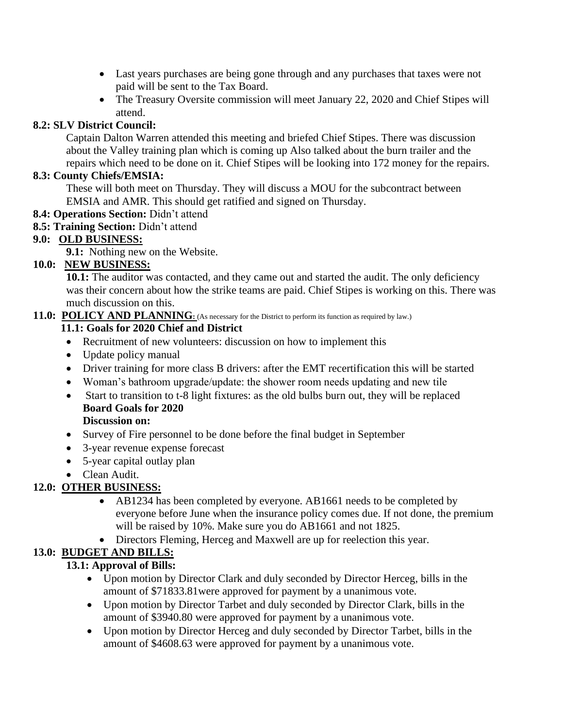- Last years purchases are being gone through and any purchases that taxes were not paid will be sent to the Tax Board.
- The Treasury Oversite commission will meet January 22, 2020 and Chief Stipes will attend.

## **8.2: SLV District Council:**

Captain Dalton Warren attended this meeting and briefed Chief Stipes. There was discussion about the Valley training plan which is coming up Also talked about the burn trailer and the repairs which need to be done on it. Chief Stipes will be looking into 172 money for the repairs.

#### **8.3: County Chiefs/EMSIA:**

These will both meet on Thursday. They will discuss a MOU for the subcontract between EMSIA and AMR. This should get ratified and signed on Thursday.

- **8.4: Operations Section:** Didn't attend
- **8.5: Training Section:** Didn't attend

### **9.0: OLD BUSINESS:**

**9.1:** Nothing new on the Website.

## **10.0: NEW BUSINESS:**

**10.1:** The auditor was contacted, and they came out and started the audit. The only deficiency was their concern about how the strike teams are paid. Chief Stipes is working on this. There was much discussion on this.

# 11.0: POLICY AND PLANNING: (As necessary for the District to perform its function as required by law.)

#### **11.1: Goals for 2020 Chief and District**

- Recruitment of new volunteers: discussion on how to implement this
- Update policy manual
- Driver training for more class B drivers: after the EMT recertification this will be started
- Woman's bathroom upgrade/update: the shower room needs updating and new tile
- Start to transition to t-8 light fixtures: as the old bulbs burn out, they will be replaced **Board Goals for 2020**

#### **Discussion on:**

- Survey of Fire personnel to be done before the final budget in September
- 3-year revenue expense forecast
- 5-year capital outlay plan
- Clean Audit.

# **12.0: OTHER BUSINESS:**

- AB1234 has been completed by everyone. AB1661 needs to be completed by everyone before June when the insurance policy comes due. If not done, the premium will be raised by 10%. Make sure you do AB1661 and not 1825.
- Directors Fleming, Herceg and Maxwell are up for reelection this year.

# **13.0: BUDGET AND BILLS:**

# **13.1: Approval of Bills:**

- Upon motion by Director Clark and duly seconded by Director Herceg, bills in the amount of \$71833.81were approved for payment by a unanimous vote.
- Upon motion by Director Tarbet and duly seconded by Director Clark, bills in the amount of \$3940.80 were approved for payment by a unanimous vote.
- Upon motion by Director Herceg and duly seconded by Director Tarbet, bills in the amount of \$4608.63 were approved for payment by a unanimous vote.